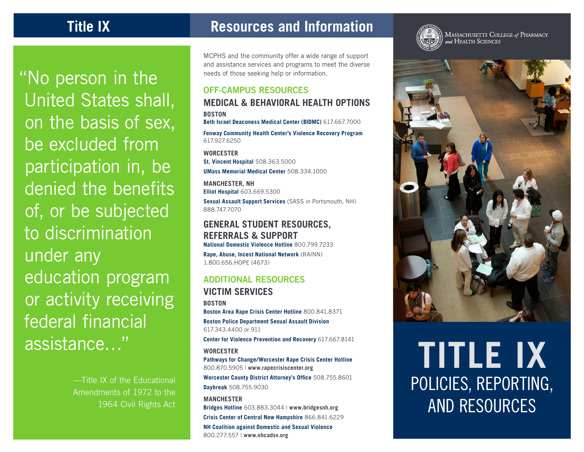"No person in the

United States shall,

on the basis of sex,

participation in, be

denied the benefits

of, or be subjected

education program

or activity receiving

—Title IX of the Educational Amendments of 1972 to the

1964 Civil Rights Act

federal financial

assistance…"

to discrimination

under any

be excluded from

**Title IX Resources and Information** 

MCPHS and the community offer a wide range of support and assistance services and programs to meet the diverse needs of those seeking help or information.

## **OFF-CAMPUS RESOURCES**

## **MEDICAL & BEHAVIORAL HEALTH OPTIONS BOSTON**

**Beth Israel Deaconess Medical Center (BIDMC)** 617.667.7000

**Fenway Community Health Center's Violence Recovery Program** 617.927.6250

**WORCESTER St. Vincent Hospital** 508.363.5000

**UMass Memorial Medical Center** 508.334.1000

**MANCHESTER, NH Elliot Hospital** 603.669.5300

**Sexual Assault Support Services** (SASS in Portsmouth, NH) 888.747.7070

## **GENERAL STUDENT RESOURCES, REFERRALS & SUPPORT**

**National Domestic Violence Hotline** 800.799.7233

**Rape, Abuse, Incest National Network** (RAINN) 1.800.656.HOPE (4673)

## **ADDITIONAL RESOURCES**

**VICTIM SERVICES BOSTON Boston Area Rape Crisis Center Hotline** 800.841.8371 **Boston Police Department Sexual Assault Division** 617.343.4400 or 911

**Center for Violence Prevention and Recovery** 617.667.8141

#### **WORCESTER**

**Pathways for Change/Worcester Rape Crisis Center Hotline** 800.870.5905 | **www.rapecrisiscenter.org**

**Worcester County District Attorney's Office** 508.755.8601 **Daybreak** 508.755.9030

**MANCHESTER Bridges Hotline** 603.883.3044 | **www.bridgesnh.org Crisis Center of Central New Hampshire** 866.841.6229

**NH Coalition against Domestic and Sexual Violence** 800.277.557 | **www.nhcadsv.org**



AND RESOURCES



MASSACHUSETTS COLLEGE of PHARMACY<br>and HEALTH SCIENCES

POLICIES, REPORTING,